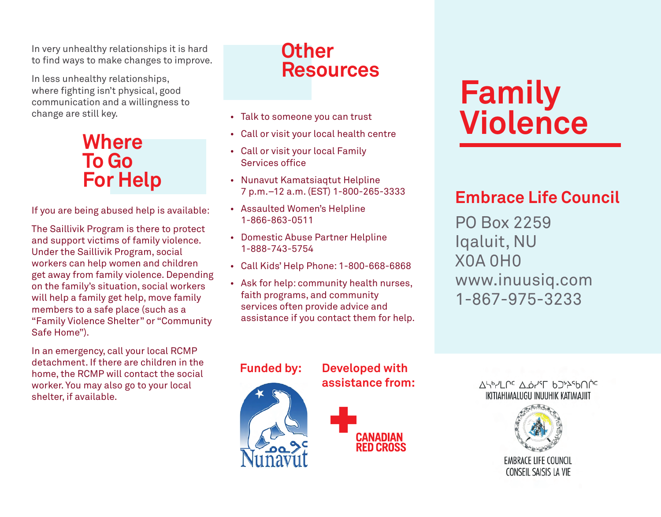In very unhealthy relationships it is hard to find ways to make changes to improve.

In less unhealthy relationships, where fighting isn't physical, good communication and a willingness to change are still key.

# **Where To Go For Help**

If you are being abused help is available:

The Saillivik Program is there to protect and support victims of family violence. Under the Saillivik Program, social workers can help women and children get away from family violence. Depending on the family's situation, social workers will help a family get help, move family members to a safe place (such as a "Family Violence Shelter" or "Community Safe Home").

In an emergency, call your local RCMP detachment. If there are children in the home, the RCMP will contact the social worker. You may also go to your local shelter, if available.

# **Other Resources**

- Talk to someone you can trust
- • Call or visit your local health centre
- • Call or visit your local Family Services office
- • Nunavut Kamatsiaqtut Helpline 7 p.m.–12 a.m. (EST) 1-800-265-3333
- • Assaulted Women's Helpline 1-866-863-0511
- • Domestic Abuse Partner Helpline 1-888-743-5754
- • Call Kids' Help Phone: 1-800-668-6868
- • Ask for help: community health nurses, faith programs, and community services often provide advice and assistance if you contact them for help.

# **Family Violence**

## **Embrace Life Council**

PO Box 2259 Iqaluit, NU X0A 0H0 www.inuusiq.com 1-867-975-3233